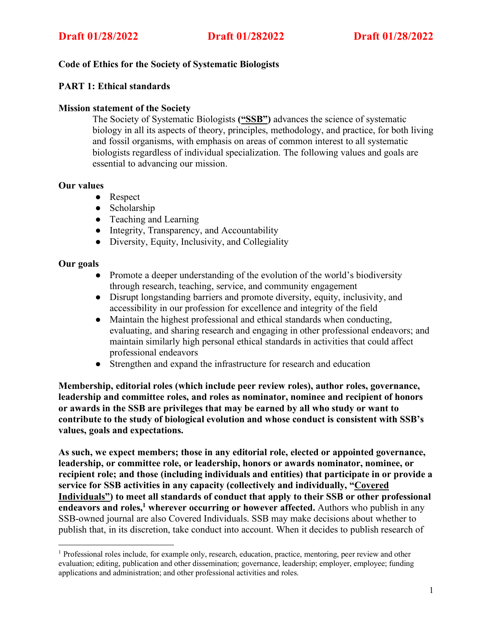# **Code of Ethics for the Society of Systematic Biologists**

# **PART 1: Ethical standards**

## **Mission statement of the Society**

The Society of Systematic Biologists **("SSB")** advances the science of systematic biology in all its aspects of theory, principles, methodology, and practice, for both living and fossil organisms, with emphasis on areas of common interest to all systematic biologists regardless of individual specialization. The following values and goals are essential to advancing our mission.

### **Our values**

- Respect
- Scholarship
- Teaching and Learning
- Integrity, Transparency, and Accountability
- Diversity, Equity, Inclusivity, and Collegiality

### **Our goals**

- Promote a deeper understanding of the evolution of the world's biodiversity through research, teaching, service, and community engagement
- Disrupt longstanding barriers and promote diversity, equity, inclusivity, and accessibility in our profession for excellence and integrity of the field
- Maintain the highest professional and ethical standards when conducting, evaluating, and sharing research and engaging in other professional endeavors; and maintain similarly high personal ethical standards in activities that could affect professional endeavors
- Strengthen and expand the infrastructure for research and education

**Membership, editorial roles (which include peer review roles), author roles, governance, leadership and committee roles, and roles as nominator, nominee and recipient of honors or awards in the SSB are privileges that may be earned by all who study or want to contribute to the study of biological evolution and whose conduct is consistent with SSB's values, goals and expectations.**

**As such, we expect members; those in any editorial role, elected or appointed governance, leadership, or committee role, or leadership, honors or awards nominator, nominee, or recipient role; and those (including individuals and entities) that participate in or provide a service for SSB activities in any capacity (collectively and individually, "Covered Individuals") to meet all standards of conduct that apply to their SSB or other professional endeavors and roles, <sup>1</sup> wherever occurring or however affected.** Authors who publish in any SSB-owned journal are also Covered Individuals. SSB may make decisions about whether to publish that, in its discretion, take conduct into account. When it decides to publish research of

<sup>&</sup>lt;sup>1</sup> Professional roles include, for example only, research, education, practice, mentoring, peer review and other evaluation; editing, publication and other dissemination; governance, leadership; employer, employee; funding applications and administration; and other professional activities and roles.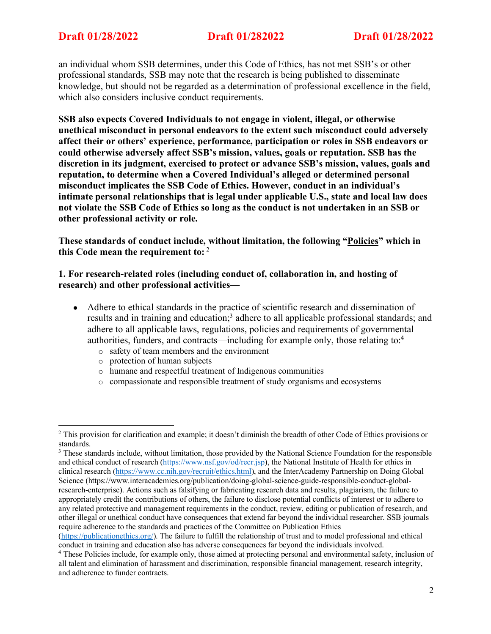an individual whom SSB determines, under this Code of Ethics, has not met SSB's or other professional standards, SSB may note that the research is being published to disseminate knowledge, but should not be regarded as a determination of professional excellence in the field, which also considers inclusive conduct requirements.

**SSB also expects Covered Individuals to not engage in violent, illegal, or otherwise unethical misconduct in personal endeavors to the extent such misconduct could adversely affect their or others' experience, performance, participation or roles in SSB endeavors or could otherwise adversely affect SSB's mission, values, goals or reputation. SSB has the discretion in its judgment, exercised to protect or advance SSB's mission, values, goals and reputation, to determine when a Covered Individual's alleged or determined personal misconduct implicates the SSB Code of Ethics. However, conduct in an individual's intimate personal relationships that is legal under applicable U.S., state and local law does not violate the SSB Code of Ethics so long as the conduct is not undertaken in an SSB or other professional activity or role.**

**These standards of conduct include, without limitation, the following "Policies" which in this Code mean the requirement to:** <sup>2</sup>

**1. For research-related roles (including conduct of, collaboration in, and hosting of research) and other professional activities—**

- Adhere to ethical standards in the practice of scientific research and dissemination of results and in training and education;<sup>3</sup> adhere to all applicable professional standards; and adhere to all applicable laws, regulations, policies and requirements of governmental authorities, funders, and contracts—including for example only, those relating to:4
	- o safety of team members and the environment
	- o protection of human subjects
	- o humane and respectful treatment of Indigenous communities
	- o compassionate and responsible treatment of study organisms and ecosystems

<sup>&</sup>lt;sup>2</sup> This provision for clarification and example; it doesn't diminish the breadth of other Code of Ethics provisions or standards.

<sup>&</sup>lt;sup>3</sup> These standards include, without limitation, those provided by the National Science Foundation for the responsible and ethical conduct of research (https://www.nsf.gov/od/recr.jsp), the National Institute of Health for ethics in clinical research (https://www.cc.nih.gov/recruit/ethics.html), and the InterAcademy Partnership on Doing Global Science (https://www.interacademies.org/publication/doing-global-science-guide-responsible-conduct-globalresearch-enterprise). Actions such as falsifying or fabricating research data and results, plagiarism, the failure to appropriately credit the contributions of others, the failure to disclose potential conflicts of interest or to adhere to any related protective and management requirements in the conduct, review, editing or publication of research, and other illegal or unethical conduct have consequences that extend far beyond the individual researcher. SSB journals require adherence to the standards and practices of the Committee on Publication Ethics

<sup>(</sup>https://publicationethics.org/). The failure to fulfill the relationship of trust and to model professional and ethical conduct in training and education also has adverse consequences far beyond the individuals involved.

<sup>&</sup>lt;sup>4</sup> These Policies include, for example only, those aimed at protecting personal and environmental safety, inclusion of all talent and elimination of harassment and discrimination, responsible financial management, research integrity, and adherence to funder contracts.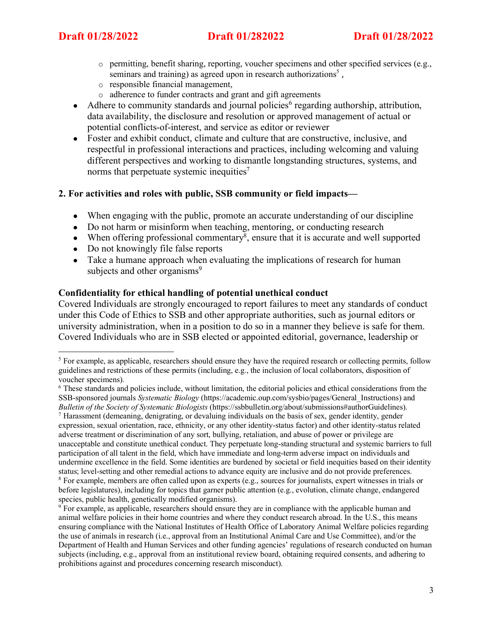- $\circ$  permitting, benefit sharing, reporting, voucher specimens and other specified services (e.g., seminars and training) as agreed upon in research authorizations<sup>5</sup>.
- o responsible financial management,
- o adherence to funder contracts and grant and gift agreements
- Adhere to community standards and journal policies<sup>6</sup> regarding authorship, attribution, data availability, the disclosure and resolution or approved management of actual or potential conflicts-of-interest, and service as editor or reviewer
- Foster and exhibit conduct, climate and culture that are constructive, inclusive, and respectful in professional interactions and practices, including welcoming and valuing different perspectives and working to dismantle longstanding structures, systems, and norms that perpetuate systemic inequities<sup>7</sup>

# **2. For activities and roles with public, SSB community or field impacts—**

- When engaging with the public, promote an accurate understanding of our discipline
- Do not harm or misinform when teaching, mentoring, or conducting research
- When offering professional commentary<sup>8</sup>, ensure that it is accurate and well supported
- Do not knowingly file false reports
- Take a humane approach when evaluating the implications of research for human subjects and other organisms<sup>9</sup>

### **Confidentiality for ethical handling of potential unethical conduct**

Covered Individuals are strongly encouraged to report failures to meet any standards of conduct under this Code of Ethics to SSB and other appropriate authorities, such as journal editors or university administration, when in a position to do so in a manner they believe is safe for them. Covered Individuals who are in SSB elected or appointed editorial, governance, leadership or

<sup>&</sup>lt;sup>5</sup> For example, as applicable, researchers should ensure they have the required research or collecting permits, follow guidelines and restrictions of these permits (including, e.g., the inclusion of local collaborators, disposition of voucher specimens).

<sup>6</sup> These standards and policies include, without limitation, the editorial policies and ethical considerations from the SSB-sponsored journals *Systematic Biology* (https://academic.oup.com/sysbio/pages/General\_Instructions) and *Bulletin of the Society of Systematic Biologists* (https://ssbbulletin.org/about/submissions#authorGuidelines).

<sup>7</sup> Harassment (demeaning, denigrating, or devaluing individuals on the basis of sex, gender identity, gender expression, sexual orientation, race, ethnicity, or any other identity-status factor) and other identity-status related adverse treatment or discrimination of any sort, bullying, retaliation, and abuse of power or privilege are unacceptable and constitute unethical conduct. They perpetuate long-standing structural and systemic barriers to full participation of all talent in the field, which have immediate and long-term adverse impact on individuals and undermine excellence in the field. Some identities are burdened by societal or field inequities based on their identity status; level-setting and other remedial actions to advance equity are inclusive and do not provide preferences. <sup>8</sup> For example, members are often called upon as experts (e.g., sources for journalists, expert witnesses in trials or before legislatures), including for topics that garner public attention (e.g., evolution, climate change, endangered species, public health, genetically modified organisms).

<sup>&</sup>lt;sup>9</sup> For example, as applicable, researchers should ensure they are in compliance with the applicable human and animal welfare policies in their home countries and where they conduct research abroad. In the U.S., this means ensuring compliance with the National Institutes of Health Office of Laboratory Animal Welfare policies regarding the use of animals in research (i.e., approval from an Institutional Animal Care and Use Committee), and/or the Department of Health and Human Services and other funding agencies' regulations of research conducted on human subjects (including, e.g., approval from an institutional review board, obtaining required consents, and adhering to prohibitions against and procedures concerning research misconduct).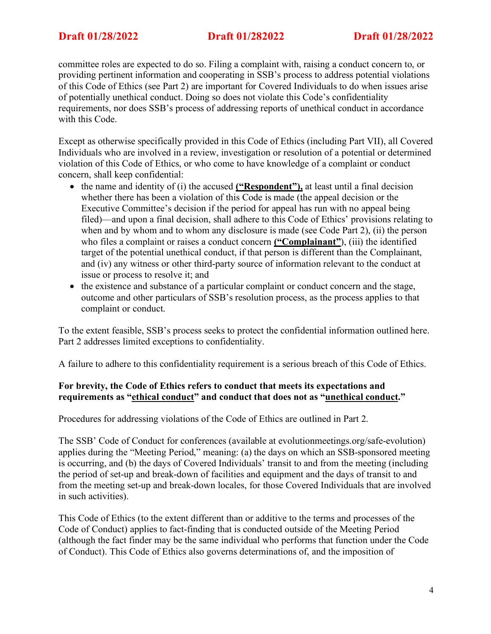committee roles are expected to do so. Filing a complaint with, raising a conduct concern to, or providing pertinent information and cooperating in SSB's process to address potential violations of this Code of Ethics (see Part 2) are important for Covered Individuals to do when issues arise of potentially unethical conduct. Doing so does not violate this Code's confidentiality requirements, nor does SSB's process of addressing reports of unethical conduct in accordance with this Code.

Except as otherwise specifically provided in this Code of Ethics (including Part VII), all Covered Individuals who are involved in a review, investigation or resolution of a potential or determined violation of this Code of Ethics, or who come to have knowledge of a complaint or conduct concern, shall keep confidential:

- the name and identity of (i) the accused **("Respondent"),** at least until a final decision whether there has been a violation of this Code is made (the appeal decision or the Executive Committee's decision if the period for appeal has run with no appeal being filed)—and upon a final decision, shall adhere to this Code of Ethics' provisions relating to when and by whom and to whom any disclosure is made (see Code Part 2), (ii) the person who files a complaint or raises a conduct concern **("Complainant"**), (iii) the identified target of the potential unethical conduct, if that person is different than the Complainant, and (iv) any witness or other third-party source of information relevant to the conduct at issue or process to resolve it; and
- the existence and substance of a particular complaint or conduct concern and the stage, outcome and other particulars of SSB's resolution process, as the process applies to that complaint or conduct.

To the extent feasible, SSB's process seeks to protect the confidential information outlined here. Part 2 addresses limited exceptions to confidentiality.

A failure to adhere to this confidentiality requirement is a serious breach of this Code of Ethics.

# **For brevity, the Code of Ethics refers to conduct that meets its expectations and requirements as "ethical conduct" and conduct that does not as "unethical conduct."**

Procedures for addressing violations of the Code of Ethics are outlined in Part 2.

The SSB' Code of Conduct for conferences (available at evolutionmeetings.org/safe-evolution) applies during the "Meeting Period," meaning: (a) the days on which an SSB-sponsored meeting is occurring, and (b) the days of Covered Individuals' transit to and from the meeting (including the period of set-up and break-down of facilities and equipment and the days of transit to and from the meeting set-up and break-down locales, for those Covered Individuals that are involved in such activities).

This Code of Ethics (to the extent different than or additive to the terms and processes of the Code of Conduct) applies to fact-finding that is conducted outside of the Meeting Period (although the fact finder may be the same individual who performs that function under the Code of Conduct). This Code of Ethics also governs determinations of, and the imposition of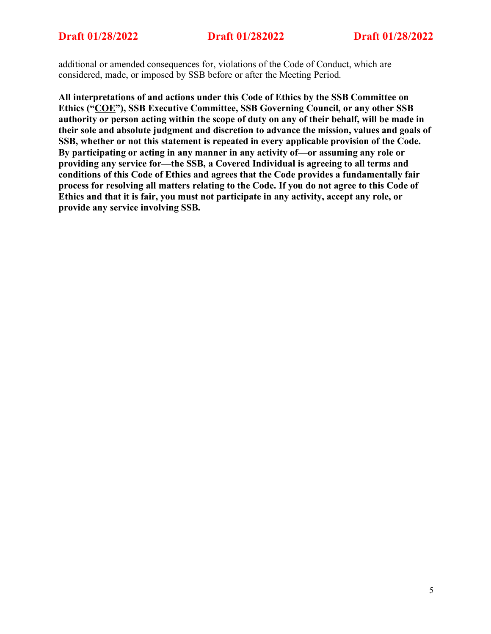additional or amended consequences for, violations of the Code of Conduct, which are considered, made, or imposed by SSB before or after the Meeting Period.

**All interpretations of and actions under this Code of Ethics by the SSB Committee on Ethics ("COE"), SSB Executive Committee, SSB Governing Council, or any other SSB authority or person acting within the scope of duty on any of their behalf, will be made in their sole and absolute judgment and discretion to advance the mission, values and goals of SSB, whether or not this statement is repeated in every applicable provision of the Code. By participating or acting in any manner in any activity of—or assuming any role or providing any service for—the SSB, a Covered Individual is agreeing to all terms and conditions of this Code of Ethics and agrees that the Code provides a fundamentally fair process for resolving all matters relating to the Code. If you do not agree to this Code of Ethics and that it is fair, you must not participate in any activity, accept any role, or provide any service involving SSB.**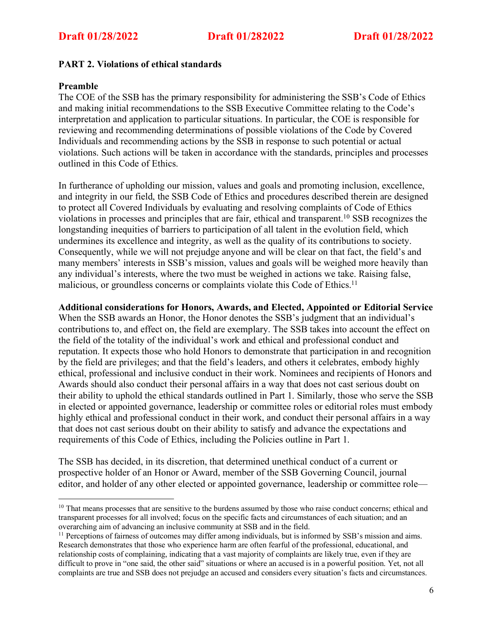# **PART 2. Violations of ethical standards**

## **Preamble**

The COE of the SSB has the primary responsibility for administering the SSB's Code of Ethics and making initial recommendations to the SSB Executive Committee relating to the Code's interpretation and application to particular situations. In particular, the COE is responsible for reviewing and recommending determinations of possible violations of the Code by Covered Individuals and recommending actions by the SSB in response to such potential or actual violations. Such actions will be taken in accordance with the standards, principles and processes outlined in this Code of Ethics.

In furtherance of upholding our mission, values and goals and promoting inclusion, excellence, and integrity in our field, the SSB Code of Ethics and procedures described therein are designed to protect all Covered Individuals by evaluating and resolving complaints of Code of Ethics violations in processes and principles that are fair, ethical and transparent. <sup>10</sup> SSB recognizes the longstanding inequities of barriers to participation of all talent in the evolution field, which undermines its excellence and integrity, as well as the quality of its contributions to society. Consequently, while we will not prejudge anyone and will be clear on that fact, the field's and many members' interests in SSB's mission, values and goals will be weighed more heavily than any individual's interests, where the two must be weighed in actions we take. Raising false, malicious, or groundless concerns or complaints violate this Code of Ethics.<sup>11</sup>

### **Additional considerations for Honors, Awards, and Elected, Appointed or Editorial Service**

When the SSB awards an Honor, the Honor denotes the SSB's judgment that an individual's contributions to, and effect on, the field are exemplary. The SSB takes into account the effect on the field of the totality of the individual's work and ethical and professional conduct and reputation. It expects those who hold Honors to demonstrate that participation in and recognition by the field are privileges; and that the field's leaders, and others it celebrates, embody highly ethical, professional and inclusive conduct in their work. Nominees and recipients of Honors and Awards should also conduct their personal affairs in a way that does not cast serious doubt on their ability to uphold the ethical standards outlined in Part 1. Similarly, those who serve the SSB in elected or appointed governance, leadership or committee roles or editorial roles must embody highly ethical and professional conduct in their work, and conduct their personal affairs in a way that does not cast serious doubt on their ability to satisfy and advance the expectations and requirements of this Code of Ethics, including the Policies outline in Part 1.

The SSB has decided, in its discretion, that determined unethical conduct of a current or prospective holder of an Honor or Award, member of the SSB Governing Council, journal editor, and holder of any other elected or appointed governance, leadership or committee role—

<sup>&</sup>lt;sup>10</sup> That means processes that are sensitive to the burdens assumed by those who raise conduct concerns; ethical and transparent processes for all involved; focus on the specific facts and circumstances of each situation; and an overarching aim of advancing an inclusive community at SSB and in the field.<br><sup>11</sup> Perceptions of fairness of outcomes may differ among individuals, but is informed by SSB's mission and aims.

Research demonstrates that those who experience harm are often fearful of the professional, educational, and relationship costs of complaining, indicating that a vast majority of complaints are likely true, even if they are difficult to prove in "one said, the other said" situations or where an accused is in a powerful position. Yet, not all complaints are true and SSB does not prejudge an accused and considers every situation's facts and circumstances.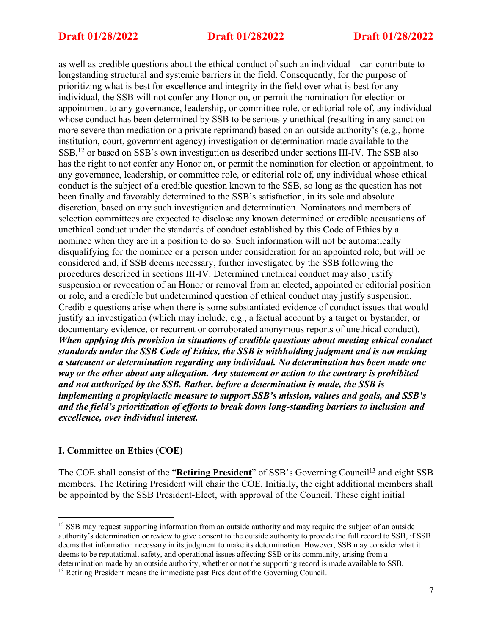as well as credible questions about the ethical conduct of such an individual—can contribute to longstanding structural and systemic barriers in the field. Consequently, for the purpose of prioritizing what is best for excellence and integrity in the field over what is best for any individual, the SSB will not confer any Honor on, or permit the nomination for election or appointment to any governance, leadership, or committee role, or editorial role of, any individual whose conduct has been determined by SSB to be seriously unethical (resulting in any sanction more severe than mediation or a private reprimand) based on an outside authority's (e.g., home institution, court, government agency) investigation or determination made available to the SSB,<sup>12</sup> or based on SSB's own investigation as described under sections III-IV. The SSB also has the right to not confer any Honor on, or permit the nomination for election or appointment, to any governance, leadership, or committee role, or editorial role of, any individual whose ethical conduct is the subject of a credible question known to the SSB, so long as the question has not been finally and favorably determined to the SSB's satisfaction, in its sole and absolute discretion, based on any such investigation and determination. Nominators and members of selection committees are expected to disclose any known determined or credible accusations of unethical conduct under the standards of conduct established by this Code of Ethics by a nominee when they are in a position to do so. Such information will not be automatically disqualifying for the nominee or a person under consideration for an appointed role, but will be considered and, if SSB deems necessary, further investigated by the SSB following the procedures described in sections III-IV. Determined unethical conduct may also justify suspension or revocation of an Honor or removal from an elected, appointed or editorial position or role, and a credible but undetermined question of ethical conduct may justify suspension. Credible questions arise when there is some substantiated evidence of conduct issues that would justify an investigation (which may include, e.g., a factual account by a target or bystander, or documentary evidence, or recurrent or corroborated anonymous reports of unethical conduct). *When applying this provision in situations of credible questions about meeting ethical conduct standards under the SSB Code of Ethics, the SSB is withholding judgment and is not making a statement or determination regarding any individual. No determination has been made one way or the other about any allegation. Any statement or action to the contrary is prohibited and not authorized by the SSB. Rather, before a determination is made, the SSB is implementing a prophylactic measure to support SSB's mission, values and goals, and SSB's and the field's prioritization of efforts to break down long-standing barriers to inclusion and excellence, over individual interest.*

# **I. Committee on Ethics (COE)**

The COE shall consist of the "**Retiring President**" of SSB's Governing Council<sup>13</sup> and eight SSB members. The Retiring President will chair the COE. Initially, the eight additional members shall be appointed by the SSB President-Elect, with approval of the Council. These eight initial

<sup>&</sup>lt;sup>12</sup> SSB may request supporting information from an outside authority and may require the subject of an outside authority's determination or review to give consent to the outside authority to provide the full record to SSB, if SSB deems that information necessary in its judgment to make its determination. However, SSB may consider what it deems to be reputational, safety, and operational issues affecting SSB or its community, arising from a determination made by an outside authority, whether or not the supporting record is made available to SSB.

<sup>&</sup>lt;sup>13</sup> Retiring President means the immediate past President of the Governing Council.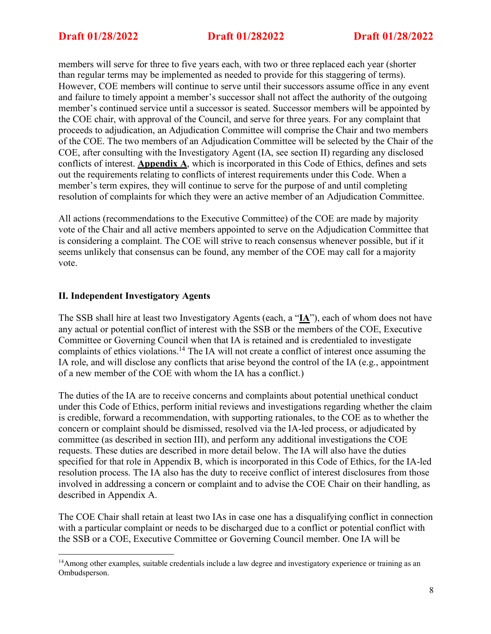members will serve for three to five years each, with two or three replaced each year (shorter than regular terms may be implemented as needed to provide for this staggering of terms). However, COE members will continue to serve until their successors assume office in any event and failure to timely appoint a member's successor shall not affect the authority of the outgoing member's continued service until a successor is seated. Successor members will be appointed by the COE chair, with approval of the Council, and serve for three years. For any complaint that proceeds to adjudication, an Adjudication Committee will comprise the Chair and two members of the COE. The two members of an Adjudication Committee will be selected by the Chair of the COE, after consulting with the Investigatory Agent (IA, see section II) regarding any disclosed conflicts of interest. **Appendix A**, which is incorporated in this Code of Ethics, defines and sets out the requirements relating to conflicts of interest requirements under this Code. When a member's term expires, they will continue to serve for the purpose of and until completing resolution of complaints for which they were an active member of an Adjudication Committee.

All actions (recommendations to the Executive Committee) of the COE are made by majority vote of the Chair and all active members appointed to serve on the Adjudication Committee that is considering a complaint. The COE will strive to reach consensus whenever possible, but if it seems unlikely that consensus can be found, any member of the COE may call for a majority vote.

# **II. Independent Investigatory Agents**

The SSB shall hire at least two Investigatory Agents (each, a "**IA**"), each of whom does not have any actual or potential conflict of interest with the SSB or the members of the COE, Executive Committee or Governing Council when that IA is retained and is credentialed to investigate complaints of ethics violations.14 The IA will not create a conflict of interest once assuming the IA role, and will disclose any conflicts that arise beyond the control of the IA (e.g., appointment of a new member of the COE with whom the IA has a conflict.)

The duties of the IA are to receive concerns and complaints about potential unethical conduct under this Code of Ethics, perform initial reviews and investigations regarding whether the claim is credible, forward a recommendation, with supporting rationales, to the COE as to whether the concern or complaint should be dismissed, resolved via the IA-led process, or adjudicated by committee (as described in section III), and perform any additional investigations the COE requests. These duties are described in more detail below. The IA will also have the duties specified for that role in Appendix B, which is incorporated in this Code of Ethics, for the IA-led resolution process. The IA also has the duty to receive conflict of interest disclosures from those involved in addressing a concern or complaint and to advise the COE Chair on their handling, as described in Appendix A.

The COE Chair shall retain at least two IAs in case one has a disqualifying conflict in connection with a particular complaint or needs to be discharged due to a conflict or potential conflict with the SSB or a COE, Executive Committee or Governing Council member. One IA will be

<sup>&</sup>lt;sup>14</sup>Among other examples, suitable credentials include a law degree and investigatory experience or training as an Ombudsperson.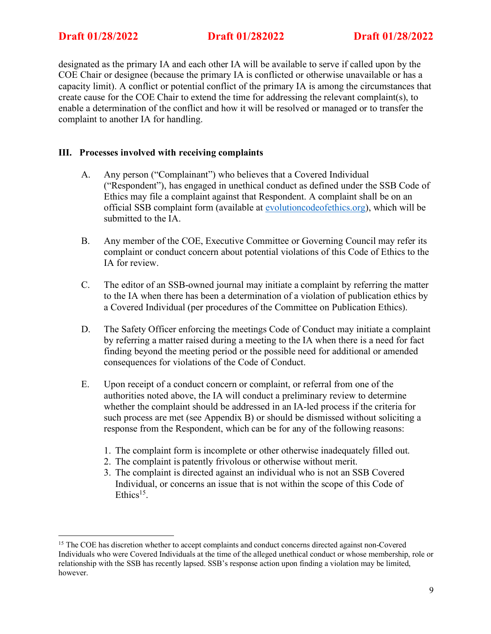designated as the primary IA and each other IA will be available to serve if called upon by the COE Chair or designee (because the primary IA is conflicted or otherwise unavailable or has a capacity limit). A conflict or potential conflict of the primary IA is among the circumstances that create cause for the COE Chair to extend the time for addressing the relevant complaint(s), to enable a determination of the conflict and how it will be resolved or managed or to transfer the complaint to another IA for handling.

# **III. Processes involved with receiving complaints**

- A. Any person ("Complainant") who believes that a Covered Individual ("Respondent"), has engaged in unethical conduct as defined under the SSB Code of Ethics may file a complaint against that Respondent. A complaint shall be on an official SSB complaint form (available at evolutioncodeofethics.org), which will be submitted to the IA.
- B. Any member of the COE, Executive Committee or Governing Council may refer its complaint or conduct concern about potential violations of this Code of Ethics to the IA for review.
- C. The editor of an SSB-owned journal may initiate a complaint by referring the matter to the IA when there has been a determination of a violation of publication ethics by a Covered Individual (per procedures of the Committee on Publication Ethics).
- D. The Safety Officer enforcing the meetings Code of Conduct may initiate a complaint by referring a matter raised during a meeting to the IA when there is a need for fact finding beyond the meeting period or the possible need for additional or amended consequences for violations of the Code of Conduct.
- E. Upon receipt of a conduct concern or complaint, or referral from one of the authorities noted above, the IA will conduct a preliminary review to determine whether the complaint should be addressed in an IA-led process if the criteria for such process are met (see Appendix B) or should be dismissed without soliciting a response from the Respondent, which can be for any of the following reasons:
	- 1. The complaint form is incomplete or other otherwise inadequately filled out.
	- 2. The complaint is patently frivolous or otherwise without merit.
	- 3. The complaint is directed against an individual who is not an SSB Covered Individual, or concerns an issue that is not within the scope of this Code of  $Ethics<sup>15</sup>$

<sup>&</sup>lt;sup>15</sup> The COE has discretion whether to accept complaints and conduct concerns directed against non-Covered Individuals who were Covered Individuals at the time of the alleged unethical conduct or whose membership, role or relationship with the SSB has recently lapsed. SSB's response action upon finding a violation may be limited, however.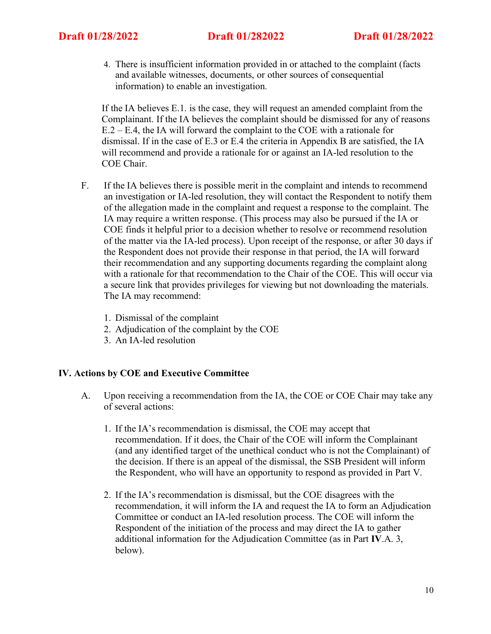4. There is insufficient information provided in or attached to the complaint (facts and available witnesses, documents, or other sources of consequential information) to enable an investigation.

If the IA believes E.1. is the case, they will request an amended complaint from the Complainant. If the IA believes the complaint should be dismissed for any of reasons E.2 – E.4, the IA will forward the complaint to the COE with a rationale for dismissal. If in the case of E.3 or E.4 the criteria in Appendix B are satisfied, the IA will recommend and provide a rationale for or against an IA-led resolution to the COE Chair.

- F. If the IA believes there is possible merit in the complaint and intends to recommend an investigation or IA-led resolution, they will contact the Respondent to notify them of the allegation made in the complaint and request a response to the complaint. The IA may require a written response. (This process may also be pursued if the IA or COE finds it helpful prior to a decision whether to resolve or recommend resolution of the matter via the IA-led process). Upon receipt of the response, or after 30 days if the Respondent does not provide their response in that period, the IA will forward their recommendation and any supporting documents regarding the complaint along with a rationale for that recommendation to the Chair of the COE. This will occur via a secure link that provides privileges for viewing but not downloading the materials. The IA may recommend:
	- 1. Dismissal of the complaint
	- 2. Adjudication of the complaint by the COE
	- 3. An IA-led resolution

### **IV. Actions by COE and Executive Committee**

- A. Upon receiving a recommendation from the IA, the COE or COE Chair may take any of several actions:
	- 1. If the IA's recommendation is dismissal, the COE may accept that recommendation. If it does, the Chair of the COE will inform the Complainant (and any identified target of the unethical conduct who is not the Complainant) of the decision. If there is an appeal of the dismissal, the SSB President will inform the Respondent, who will have an opportunity to respond as provided in Part V.
	- 2. If the IA's recommendation is dismissal, but the COE disagrees with the recommendation, it will inform the IA and request the IA to form an Adjudication Committee or conduct an IA-led resolution process. The COE will inform the Respondent of the initiation of the process and may direct the IA to gather additional information for the Adjudication Committee (as in Part **IV**.A. 3, below).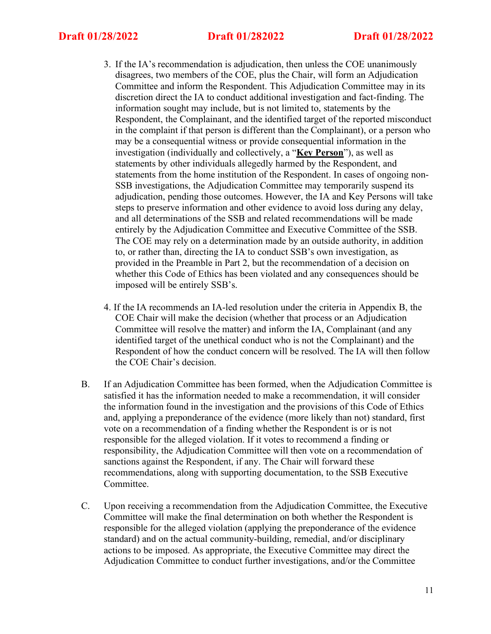- 3. If the IA's recommendation is adjudication, then unless the COE unanimously disagrees, two members of the COE, plus the Chair, will form an Adjudication Committee and inform the Respondent. This Adjudication Committee may in its discretion direct the IA to conduct additional investigation and fact-finding. The information sought may include, but is not limited to, statements by the Respondent, the Complainant, and the identified target of the reported misconduct in the complaint if that person is different than the Complainant), or a person who may be a consequential witness or provide consequential information in the investigation (individually and collectively, a "**Key Person**"), as well as statements by other individuals allegedly harmed by the Respondent, and statements from the home institution of the Respondent. In cases of ongoing non-SSB investigations, the Adjudication Committee may temporarily suspend its adjudication, pending those outcomes. However, the IA and Key Persons will take steps to preserve information and other evidence to avoid loss during any delay, and all determinations of the SSB and related recommendations will be made entirely by the Adjudication Committee and Executive Committee of the SSB. The COE may rely on a determination made by an outside authority, in addition to, or rather than, directing the IA to conduct SSB's own investigation, as provided in the Preamble in Part 2, but the recommendation of a decision on whether this Code of Ethics has been violated and any consequences should be imposed will be entirely SSB's.
- 4. If the IA recommends an IA-led resolution under the criteria in Appendix B, the COE Chair will make the decision (whether that process or an Adjudication Committee will resolve the matter) and inform the IA, Complainant (and any identified target of the unethical conduct who is not the Complainant) and the Respondent of how the conduct concern will be resolved. The IA will then follow the COE Chair's decision.
- B. If an Adjudication Committee has been formed, when the Adjudication Committee is satisfied it has the information needed to make a recommendation, it will consider the information found in the investigation and the provisions of this Code of Ethics and, applying a preponderance of the evidence (more likely than not) standard, first vote on a recommendation of a finding whether the Respondent is or is not responsible for the alleged violation. If it votes to recommend a finding or responsibility, the Adjudication Committee will then vote on a recommendation of sanctions against the Respondent, if any. The Chair will forward these recommendations, along with supporting documentation, to the SSB Executive Committee.
- C. Upon receiving a recommendation from the Adjudication Committee, the Executive Committee will make the final determination on both whether the Respondent is responsible for the alleged violation (applying the preponderance of the evidence standard) and on the actual community-building, remedial, and/or disciplinary actions to be imposed. As appropriate, the Executive Committee may direct the Adjudication Committee to conduct further investigations, and/or the Committee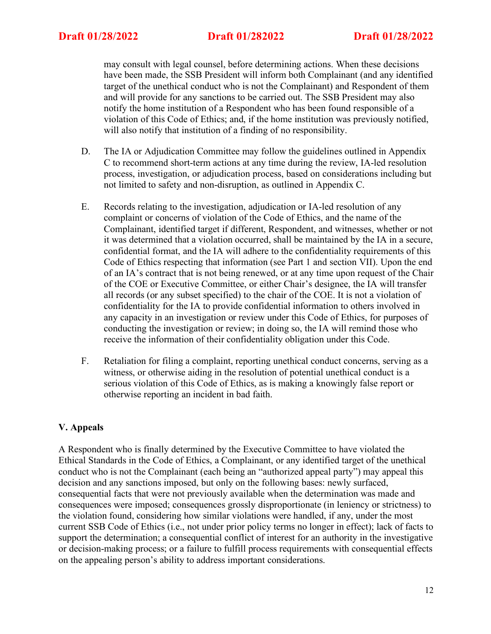may consult with legal counsel, before determining actions. When these decisions have been made, the SSB President will inform both Complainant (and any identified target of the unethical conduct who is not the Complainant) and Respondent of them and will provide for any sanctions to be carried out. The SSB President may also notify the home institution of a Respondent who has been found responsible of a violation of this Code of Ethics; and, if the home institution was previously notified, will also notify that institution of a finding of no responsibility.

- D. The IA or Adjudication Committee may follow the guidelines outlined in Appendix C to recommend short-term actions at any time during the review, IA-led resolution process, investigation, or adjudication process, based on considerations including but not limited to safety and non-disruption, as outlined in Appendix C.
- E. Records relating to the investigation, adjudication or IA-led resolution of any complaint or concerns of violation of the Code of Ethics, and the name of the Complainant, identified target if different, Respondent, and witnesses, whether or not it was determined that a violation occurred, shall be maintained by the IA in a secure, confidential format, and the IA will adhere to the confidentiality requirements of this Code of Ethics respecting that information (see Part 1 and section VII). Upon the end of an IA's contract that is not being renewed, or at any time upon request of the Chair of the COE or Executive Committee, or either Chair's designee, the IA will transfer all records (or any subset specified) to the chair of the COE. It is not a violation of confidentiality for the IA to provide confidential information to others involved in any capacity in an investigation or review under this Code of Ethics, for purposes of conducting the investigation or review; in doing so, the IA will remind those who receive the information of their confidentiality obligation under this Code.
- F. Retaliation for filing a complaint, reporting unethical conduct concerns, serving as a witness, or otherwise aiding in the resolution of potential unethical conduct is a serious violation of this Code of Ethics, as is making a knowingly false report or otherwise reporting an incident in bad faith.

# **V. Appeals**

A Respondent who is finally determined by the Executive Committee to have violated the Ethical Standards in the Code of Ethics, a Complainant, or any identified target of the unethical conduct who is not the Complainant (each being an "authorized appeal party") may appeal this decision and any sanctions imposed, but only on the following bases: newly surfaced, consequential facts that were not previously available when the determination was made and consequences were imposed; consequences grossly disproportionate (in leniency or strictness) to the violation found, considering how similar violations were handled, if any, under the most current SSB Code of Ethics (i.e., not under prior policy terms no longer in effect); lack of facts to support the determination; a consequential conflict of interest for an authority in the investigative or decision-making process; or a failure to fulfill process requirements with consequential effects on the appealing person's ability to address important considerations.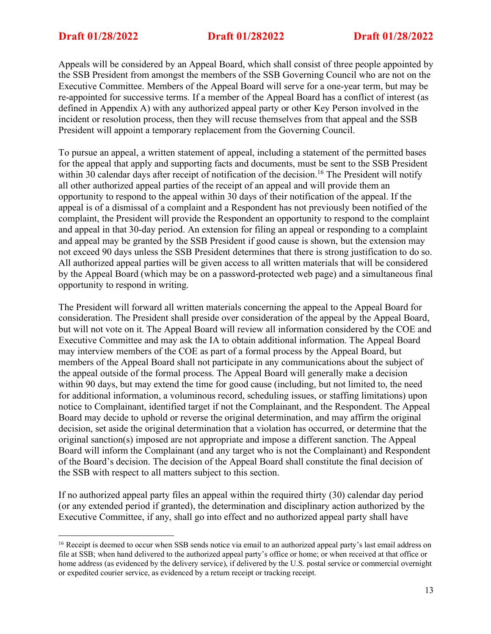Appeals will be considered by an Appeal Board, which shall consist of three people appointed by the SSB President from amongst the members of the SSB Governing Council who are not on the Executive Committee. Members of the Appeal Board will serve for a one-year term, but may be re-appointed for successive terms. If a member of the Appeal Board has a conflict of interest (as defined in Appendix A) with any authorized appeal party or other Key Person involved in the incident or resolution process, then they will recuse themselves from that appeal and the SSB President will appoint a temporary replacement from the Governing Council.

To pursue an appeal, a written statement of appeal, including a statement of the permitted bases for the appeal that apply and supporting facts and documents, must be sent to the SSB President within 30 calendar days after receipt of notification of the decision.<sup>16</sup> The President will notify all other authorized appeal parties of the receipt of an appeal and will provide them an opportunity to respond to the appeal within 30 days of their notification of the appeal. If the appeal is of a dismissal of a complaint and a Respondent has not previously been notified of the complaint, the President will provide the Respondent an opportunity to respond to the complaint and appeal in that 30-day period. An extension for filing an appeal or responding to a complaint and appeal may be granted by the SSB President if good cause is shown, but the extension may not exceed 90 days unless the SSB President determines that there is strong justification to do so. All authorized appeal parties will be given access to all written materials that will be considered by the Appeal Board (which may be on a password-protected web page) and a simultaneous final opportunity to respond in writing.

The President will forward all written materials concerning the appeal to the Appeal Board for consideration. The President shall preside over consideration of the appeal by the Appeal Board, but will not vote on it. The Appeal Board will review all information considered by the COE and Executive Committee and may ask the IA to obtain additional information. The Appeal Board may interview members of the COE as part of a formal process by the Appeal Board, but members of the Appeal Board shall not participate in any communications about the subject of the appeal outside of the formal process. The Appeal Board will generally make a decision within 90 days, but may extend the time for good cause (including, but not limited to, the need for additional information, a voluminous record, scheduling issues, or staffing limitations) upon notice to Complainant, identified target if not the Complainant, and the Respondent. The Appeal Board may decide to uphold or reverse the original determination, and may affirm the original decision, set aside the original determination that a violation has occurred, or determine that the original sanction(s) imposed are not appropriate and impose a different sanction. The Appeal Board will inform the Complainant (and any target who is not the Complainant) and Respondent of the Board's decision. The decision of the Appeal Board shall constitute the final decision of the SSB with respect to all matters subject to this section.

If no authorized appeal party files an appeal within the required thirty (30) calendar day period (or any extended period if granted), the determination and disciplinary action authorized by the Executive Committee, if any, shall go into effect and no authorized appeal party shall have

<sup>&</sup>lt;sup>16</sup> Receipt is deemed to occur when SSB sends notice via email to an authorized appeal party's last email address on file at SSB; when hand delivered to the authorized appeal party's office or home; or when received at that office or home address (as evidenced by the delivery service), if delivered by the U.S. postal service or commercial overnight or expedited courier service, as evidenced by a return receipt or tracking receipt.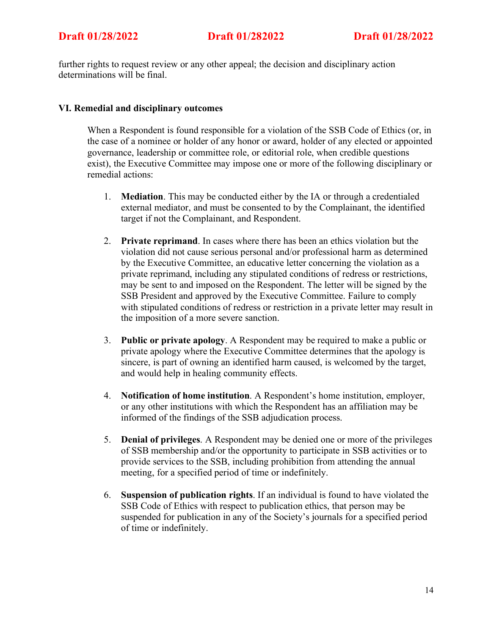further rights to request review or any other appeal; the decision and disciplinary action determinations will be final.

# **VI. Remedial and disciplinary outcomes**

When a Respondent is found responsible for a violation of the SSB Code of Ethics (or, in the case of a nominee or holder of any honor or award, holder of any elected or appointed governance, leadership or committee role, or editorial role, when credible questions exist), the Executive Committee may impose one or more of the following disciplinary or remedial actions:

- 1. **Mediation**. This may be conducted either by the IA or through a credentialed external mediator, and must be consented to by the Complainant, the identified target if not the Complainant, and Respondent.
- 2. **Private reprimand**. In cases where there has been an ethics violation but the violation did not cause serious personal and/or professional harm as determined by the Executive Committee, an educative letter concerning the violation as a private reprimand, including any stipulated conditions of redress or restrictions, may be sent to and imposed on the Respondent. The letter will be signed by the SSB President and approved by the Executive Committee. Failure to comply with stipulated conditions of redress or restriction in a private letter may result in the imposition of a more severe sanction.
- 3. **Public or private apology**. A Respondent may be required to make a public or private apology where the Executive Committee determines that the apology is sincere, is part of owning an identified harm caused, is welcomed by the target, and would help in healing community effects.
- 4. **Notification of home institution**. A Respondent's home institution, employer, or any other institutions with which the Respondent has an affiliation may be informed of the findings of the SSB adjudication process.
- 5. **Denial of privileges**. A Respondent may be denied one or more of the privileges of SSB membership and/or the opportunity to participate in SSB activities or to provide services to the SSB, including prohibition from attending the annual meeting, for a specified period of time or indefinitely.
- 6. **Suspension of publication rights**. If an individual is found to have violated the SSB Code of Ethics with respect to publication ethics, that person may be suspended for publication in any of the Society's journals for a specified period of time or indefinitely.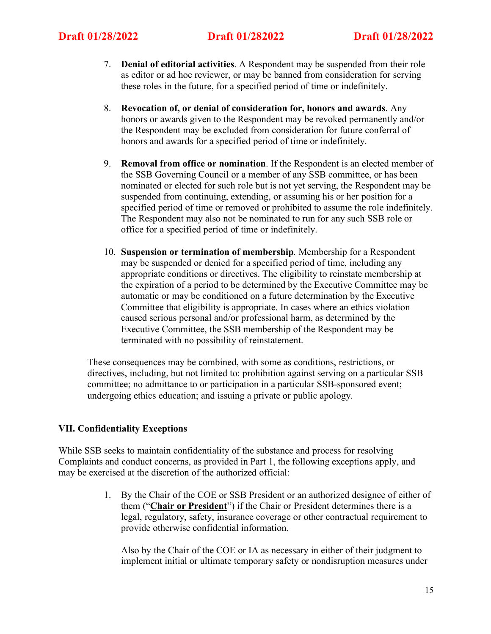- 7. **Denial of editorial activities**. A Respondent may be suspended from their role as editor or ad hoc reviewer, or may be banned from consideration for serving these roles in the future, for a specified period of time or indefinitely.
- 8. **Revocation of, or denial of consideration for, honors and awards**. Any honors or awards given to the Respondent may be revoked permanently and/or the Respondent may be excluded from consideration for future conferral of honors and awards for a specified period of time or indefinitely.
- 9. **Removal from office or nomination**. If the Respondent is an elected member of the SSB Governing Council or a member of any SSB committee, or has been nominated or elected for such role but is not yet serving, the Respondent may be suspended from continuing, extending, or assuming his or her position for a specified period of time or removed or prohibited to assume the role indefinitely. The Respondent may also not be nominated to run for any such SSB role or office for a specified period of time or indefinitely.
- 10. **Suspension or termination of membership***.* Membership for a Respondent may be suspended or denied for a specified period of time, including any appropriate conditions or directives. The eligibility to reinstate membership at the expiration of a period to be determined by the Executive Committee may be automatic or may be conditioned on a future determination by the Executive Committee that eligibility is appropriate. In cases where an ethics violation caused serious personal and/or professional harm, as determined by the Executive Committee, the SSB membership of the Respondent may be terminated with no possibility of reinstatement.

These consequences may be combined, with some as conditions, restrictions, or directives, including, but not limited to: prohibition against serving on a particular SSB committee; no admittance to or participation in a particular SSB-sponsored event; undergoing ethics education; and issuing a private or public apology.

# **VII. Confidentiality Exceptions**

While SSB seeks to maintain confidentiality of the substance and process for resolving Complaints and conduct concerns, as provided in Part 1, the following exceptions apply, and may be exercised at the discretion of the authorized official:

> 1. By the Chair of the COE or SSB President or an authorized designee of either of them ("**Chair or President**") if the Chair or President determines there is a legal, regulatory, safety, insurance coverage or other contractual requirement to provide otherwise confidential information.

Also by the Chair of the COE or IA as necessary in either of their judgment to implement initial or ultimate temporary safety or nondisruption measures under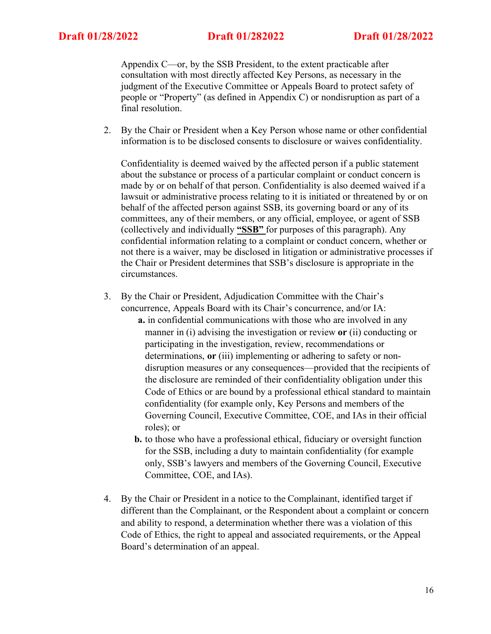Appendix C—or, by the SSB President, to the extent practicable after consultation with most directly affected Key Persons, as necessary in the judgment of the Executive Committee or Appeals Board to protect safety of people or "Property" (as defined in Appendix C) or nondisruption as part of a final resolution.

2. By the Chair or President when a Key Person whose name or other confidential information is to be disclosed consents to disclosure or waives confidentiality.

Confidentiality is deemed waived by the affected person if a public statement about the substance or process of a particular complaint or conduct concern is made by or on behalf of that person. Confidentiality is also deemed waived if a lawsuit or administrative process relating to it is initiated or threatened by or on behalf of the affected person against SSB, its governing board or any of its committees, any of their members, or any official, employee, or agent of SSB (collectively and individually **"SSB"** for purposes of this paragraph). Any confidential information relating to a complaint or conduct concern, whether or not there is a waiver, may be disclosed in litigation or administrative processes if the Chair or President determines that SSB's disclosure is appropriate in the circumstances.

- 3. By the Chair or President, Adjudication Committee with the Chair's concurrence, Appeals Board with its Chair's concurrence, and/or IA:
	- **a.** in confidential communications with those who are involved in any manner in (i) advising the investigation or review **or** (ii) conducting or participating in the investigation, review, recommendations or determinations, **or** (iii) implementing or adhering to safety or nondisruption measures or any consequences—provided that the recipients of the disclosure are reminded of their confidentiality obligation under this Code of Ethics or are bound by a professional ethical standard to maintain confidentiality (for example only, Key Persons and members of the Governing Council, Executive Committee, COE, and IAs in their official roles); or
	- **b.** to those who have a professional ethical, fiduciary or oversight function for the SSB, including a duty to maintain confidentiality (for example only, SSB's lawyers and members of the Governing Council, Executive Committee, COE, and IAs).
- 4. By the Chair or President in a notice to the Complainant, identified target if different than the Complainant, or the Respondent about a complaint or concern and ability to respond, a determination whether there was a violation of this Code of Ethics, the right to appeal and associated requirements, or the Appeal Board's determination of an appeal.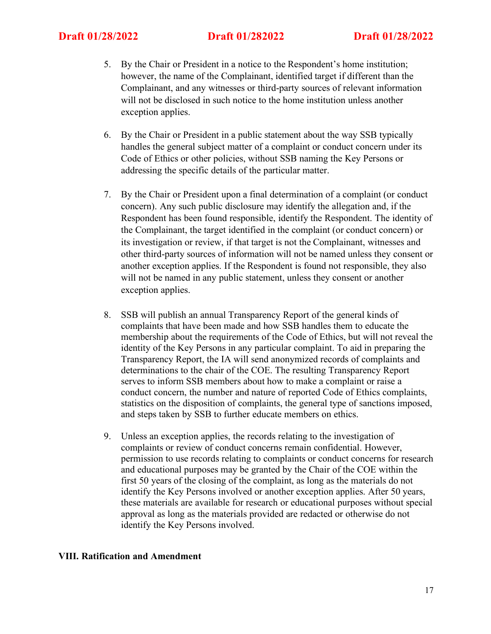- 5. By the Chair or President in a notice to the Respondent's home institution; however, the name of the Complainant, identified target if different than the Complainant, and any witnesses or third-party sources of relevant information will not be disclosed in such notice to the home institution unless another exception applies.
- 6. By the Chair or President in a public statement about the way SSB typically handles the general subject matter of a complaint or conduct concern under its Code of Ethics or other policies, without SSB naming the Key Persons or addressing the specific details of the particular matter.
- 7. By the Chair or President upon a final determination of a complaint (or conduct concern). Any such public disclosure may identify the allegation and, if the Respondent has been found responsible, identify the Respondent. The identity of the Complainant, the target identified in the complaint (or conduct concern) or its investigation or review, if that target is not the Complainant, witnesses and other third-party sources of information will not be named unless they consent or another exception applies. If the Respondent is found not responsible, they also will not be named in any public statement, unless they consent or another exception applies.
- 8. SSB will publish an annual Transparency Report of the general kinds of complaints that have been made and how SSB handles them to educate the membership about the requirements of the Code of Ethics, but will not reveal the identity of the Key Persons in any particular complaint. To aid in preparing the Transparency Report, the IA will send anonymized records of complaints and determinations to the chair of the COE. The resulting Transparency Report serves to inform SSB members about how to make a complaint or raise a conduct concern, the number and nature of reported Code of Ethics complaints, statistics on the disposition of complaints, the general type of sanctions imposed, and steps taken by SSB to further educate members on ethics.
- 9. Unless an exception applies, the records relating to the investigation of complaints or review of conduct concerns remain confidential. However, permission to use records relating to complaints or conduct concerns for research and educational purposes may be granted by the Chair of the COE within the first 50 years of the closing of the complaint, as long as the materials do not identify the Key Persons involved or another exception applies. After 50 years, these materials are available for research or educational purposes without special approval as long as the materials provided are redacted or otherwise do not identify the Key Persons involved.

### **VIII. Ratification and Amendment**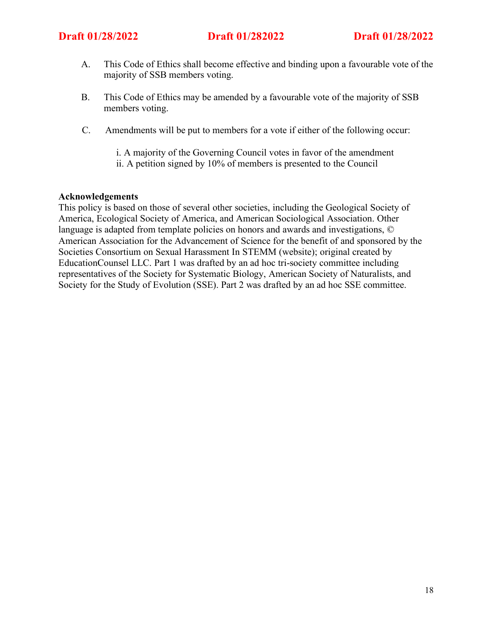- A. This Code of Ethics shall become effective and binding upon a favourable vote of the majority of SSB members voting.
- B. This Code of Ethics may be amended by a favourable vote of the majority of SSB members voting.
- C. Amendments will be put to members for a vote if either of the following occur:
	- i. A majority of the Governing Council votes in favor of the amendment
	- ii. A petition signed by 10% of members is presented to the Council

### **Acknowledgements**

This policy is based on those of several other societies, including the Geological Society of America, Ecological Society of America, and American Sociological Association. Other language is adapted from template policies on honors and awards and investigations, © American Association for the Advancement of Science for the benefit of and sponsored by the Societies Consortium on Sexual Harassment In STEMM (website); original created by EducationCounsel LLC. Part 1 was drafted by an ad hoc tri-society committee including representatives of the Society for Systematic Biology, American Society of Naturalists, and Society for the Study of Evolution (SSE). Part 2 was drafted by an ad hoc SSE committee.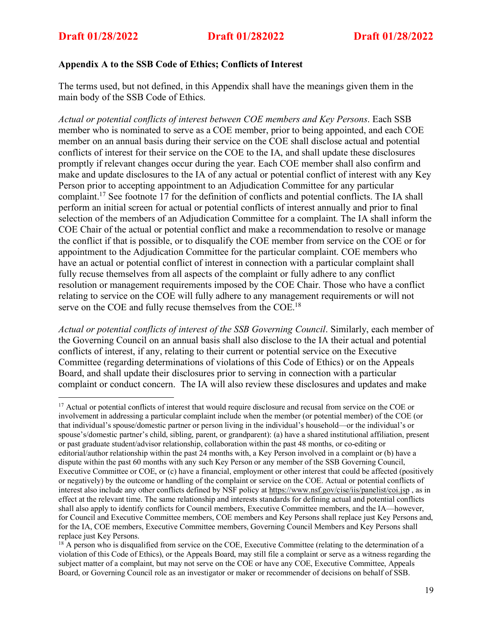# **Appendix A to the SSB Code of Ethics; Conflicts of Interest**

The terms used, but not defined, in this Appendix shall have the meanings given them in the main body of the SSB Code of Ethics.

*Actual or potential conflicts of interest between COE members and Key Persons*. Each SSB member who is nominated to serve as a COE member, prior to being appointed, and each COE member on an annual basis during their service on the COE shall disclose actual and potential conflicts of interest for their service on the COE to the IA, and shall update these disclosures promptly if relevant changes occur during the year. Each COE member shall also confirm and make and update disclosures to the IA of any actual or potential conflict of interest with any Key Person prior to accepting appointment to an Adjudication Committee for any particular complaint.17 See footnote 17 for the definition of conflicts and potential conflicts. The IA shall perform an initial screen for actual or potential conflicts of interest annually and prior to final selection of the members of an Adjudication Committee for a complaint. The IA shall inform the COE Chair of the actual or potential conflict and make a recommendation to resolve or manage the conflict if that is possible, or to disqualify the COE member from service on the COE or for appointment to the Adjudication Committee for the particular complaint. COE members who have an actual or potential conflict of interest in connection with a particular complaint shall fully recuse themselves from all aspects of the complaint or fully adhere to any conflict resolution or management requirements imposed by the COE Chair. Those who have a conflict relating to service on the COE will fully adhere to any management requirements or will not serve on the COE and fully recuse themselves from the COE.<sup>18</sup>

*Actual or potential conflicts of interest of the SSB Governing Council*. Similarly, each member of the Governing Council on an annual basis shall also disclose to the IA their actual and potential conflicts of interest, if any, relating to their current or potential service on the Executive Committee (regarding determinations of violations of this Code of Ethics) or on the Appeals Board, and shall update their disclosures prior to serving in connection with a particular complaint or conduct concern. The IA will also review these disclosures and updates and make

<sup>&</sup>lt;sup>17</sup> Actual or potential conflicts of interest that would require disclosure and recusal from service on the COE or involvement in addressing a particular complaint include when the member (or potential member) of the COE (or that individual's spouse/domestic partner or person living in the individual's household—or the individual's or spouse's/domestic partner's child, sibling, parent, or grandparent): (a) have a shared institutional affiliation, present or past graduate student/advisor relationship, collaboration within the past 48 months, or co-editing or editorial/author relationship within the past 24 months with, a Key Person involved in a complaint or (b) have a dispute within the past 60 months with any such Key Person or any member of the SSB Governing Council, Executive Committee or COE, or (c) have a financial, employment or other interest that could be affected (positively or negatively) by the outcome or handling of the complaint or service on the COE. Actual or potential conflicts of interest also include any other conflicts defined by NSF policy at https://www.nsf.gov/cise/iis/panelist/coi.jsp , as in effect at the relevant time. The same relationship and interests standards for defining actual and potential conflicts shall also apply to identify conflicts for Council members, Executive Committee members, and the IA—however, for Council and Executive Committee members, COE members and Key Persons shall replace just Key Persons and, for the IA, COE members, Executive Committee members, Governing Council Members and Key Persons shall replace just Key Persons.

<sup>&</sup>lt;sup>18</sup> A person who is disqualified from service on the COE, Executive Committee (relating to the determination of a violation of this Code of Ethics), or the Appeals Board, may still file a complaint or serve as a witness regarding the subject matter of a complaint, but may not serve on the COE or have any COE, Executive Committee, Appeals Board, or Governing Council role as an investigator or maker or recommender of decisions on behalf of SSB.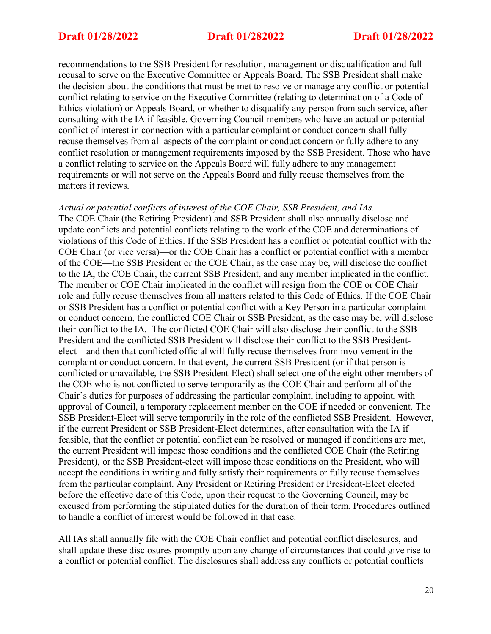recommendations to the SSB President for resolution, management or disqualification and full recusal to serve on the Executive Committee or Appeals Board. The SSB President shall make the decision about the conditions that must be met to resolve or manage any conflict or potential conflict relating to service on the Executive Committee (relating to determination of a Code of Ethics violation) or Appeals Board, or whether to disqualify any person from such service, after consulting with the IA if feasible. Governing Council members who have an actual or potential conflict of interest in connection with a particular complaint or conduct concern shall fully recuse themselves from all aspects of the complaint or conduct concern or fully adhere to any conflict resolution or management requirements imposed by the SSB President. Those who have a conflict relating to service on the Appeals Board will fully adhere to any management requirements or will not serve on the Appeals Board and fully recuse themselves from the matters it reviews.

### *Actual or potential conflicts of interest of the COE Chair, SSB President, and IAs*.

The COE Chair (the Retiring President) and SSB President shall also annually disclose and update conflicts and potential conflicts relating to the work of the COE and determinations of violations of this Code of Ethics. If the SSB President has a conflict or potential conflict with the COE Chair (or vice versa)—or the COE Chair has a conflict or potential conflict with a member of the COE—the SSB President or the COE Chair, as the case may be, will disclose the conflict to the IA, the COE Chair, the current SSB President, and any member implicated in the conflict. The member or COE Chair implicated in the conflict will resign from the COE or COE Chair role and fully recuse themselves from all matters related to this Code of Ethics. If the COE Chair or SSB President has a conflict or potential conflict with a Key Person in a particular complaint or conduct concern, the conflicted COE Chair or SSB President, as the case may be, will disclose their conflict to the IA. The conflicted COE Chair will also disclose their conflict to the SSB President and the conflicted SSB President will disclose their conflict to the SSB Presidentelect—and then that conflicted official will fully recuse themselves from involvement in the complaint or conduct concern. In that event, the current SSB President (or if that person is conflicted or unavailable, the SSB President-Elect) shall select one of the eight other members of the COE who is not conflicted to serve temporarily as the COE Chair and perform all of the Chair's duties for purposes of addressing the particular complaint, including to appoint, with approval of Council, a temporary replacement member on the COE if needed or convenient. The SSB President-Elect will serve temporarily in the role of the conflicted SSB President. However, if the current President or SSB President-Elect determines, after consultation with the IA if feasible, that the conflict or potential conflict can be resolved or managed if conditions are met, the current President will impose those conditions and the conflicted COE Chair (the Retiring President), or the SSB President-elect will impose those conditions on the President, who will accept the conditions in writing and fully satisfy their requirements or fully recuse themselves from the particular complaint. Any President or Retiring President or President-Elect elected before the effective date of this Code, upon their request to the Governing Council, may be excused from performing the stipulated duties for the duration of their term. Procedures outlined to handle a conflict of interest would be followed in that case.

All IAs shall annually file with the COE Chair conflict and potential conflict disclosures, and shall update these disclosures promptly upon any change of circumstances that could give rise to a conflict or potential conflict. The disclosures shall address any conflicts or potential conflicts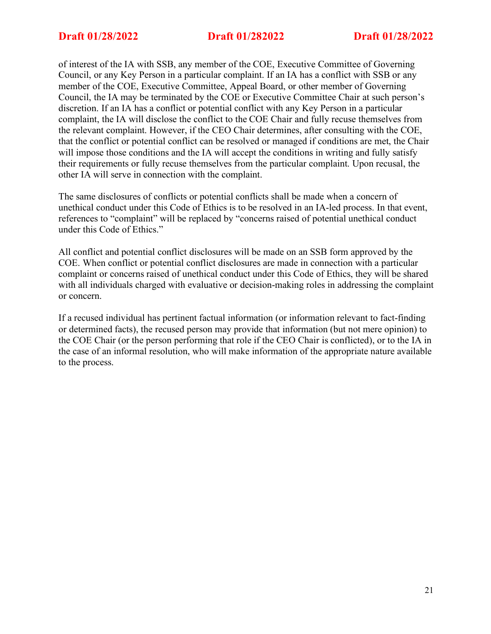of interest of the IA with SSB, any member of the COE, Executive Committee of Governing Council, or any Key Person in a particular complaint. If an IA has a conflict with SSB or any member of the COE, Executive Committee, Appeal Board, or other member of Governing Council, the IA may be terminated by the COE or Executive Committee Chair at such person's discretion. If an IA has a conflict or potential conflict with any Key Person in a particular complaint, the IA will disclose the conflict to the COE Chair and fully recuse themselves from the relevant complaint. However, if the CEO Chair determines, after consulting with the COE, that the conflict or potential conflict can be resolved or managed if conditions are met, the Chair will impose those conditions and the IA will accept the conditions in writing and fully satisfy their requirements or fully recuse themselves from the particular complaint. Upon recusal, the other IA will serve in connection with the complaint.

The same disclosures of conflicts or potential conflicts shall be made when a concern of unethical conduct under this Code of Ethics is to be resolved in an IA-led process. In that event, references to "complaint" will be replaced by "concerns raised of potential unethical conduct under this Code of Ethics."

All conflict and potential conflict disclosures will be made on an SSB form approved by the COE. When conflict or potential conflict disclosures are made in connection with a particular complaint or concerns raised of unethical conduct under this Code of Ethics, they will be shared with all individuals charged with evaluative or decision-making roles in addressing the complaint or concern.

If a recused individual has pertinent factual information (or information relevant to fact-finding or determined facts), the recused person may provide that information (but not mere opinion) to the COE Chair (or the person performing that role if the CEO Chair is conflicted), or to the IA in the case of an informal resolution, who will make information of the appropriate nature available to the process.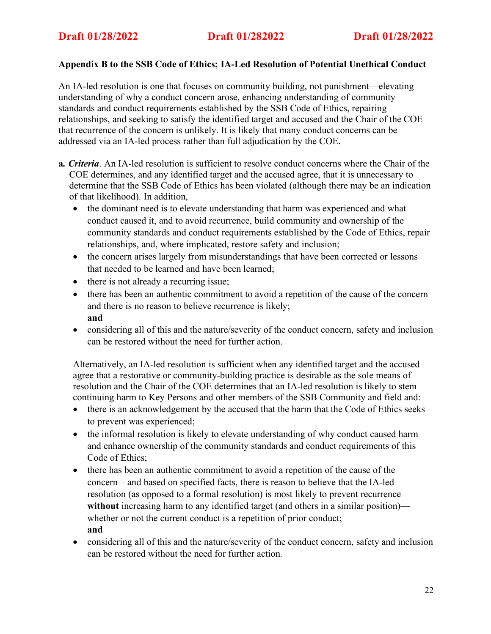# **Appendix B to the SSB Code of Ethics; IA-Led Resolution of Potential Unethical Conduct**

An IA-led resolution is one that focuses on community building, not punishment—elevating understanding of why a conduct concern arose, enhancing understanding of community standards and conduct requirements established by the SSB Code of Ethics, repairing relationships, and seeking to satisfy the identified target and accused and the Chair of the COE that recurrence of the concern is unlikely. It is likely that many conduct concerns can be addressed via an IA-led process rather than full adjudication by the COE.

- **a***. Criteria*. An IA-led resolution is sufficient to resolve conduct concerns where the Chair of the COE determines, and any identified target and the accused agree, that it is unnecessary to determine that the SSB Code of Ethics has been violated (although there may be an indication of that likelihood). In addition,
	- the dominant need is to elevate understanding that harm was experienced and what conduct caused it, and to avoid recurrence, build community and ownership of the community standards and conduct requirements established by the Code of Ethics, repair relationships, and, where implicated, restore safety and inclusion;
	- the concern arises largely from misunderstandings that have been corrected or lessons that needed to be learned and have been learned;
	- there is not already a recurring issue;
	- there has been an authentic commitment to avoid a repetition of the cause of the concern and there is no reason to believe recurrence is likely; **and**
	- considering all of this and the nature/severity of the conduct concern, safety and inclusion can be restored without the need for further action.

Alternatively, an IA-led resolution is sufficient when any identified target and the accused agree that a restorative or community-building practice is desirable as the sole means of resolution and the Chair of the COE determines that an IA-led resolution is likely to stem continuing harm to Key Persons and other members of the SSB Community and field and:

- there is an acknowledgement by the accused that the harm that the Code of Ethics seeks to prevent was experienced;
- the informal resolution is likely to elevate understanding of why conduct caused harm and enhance ownership of the community standards and conduct requirements of this Code of Ethics;
- there has been an authentic commitment to avoid a repetition of the cause of the concern—and based on specified facts, there is reason to believe that the IA-led resolution (as opposed to a formal resolution) is most likely to prevent recurrence without increasing harm to any identified target (and others in a similar position) whether or not the current conduct is a repetition of prior conduct; **and**
- considering all of this and the nature/severity of the conduct concern, safety and inclusion can be restored without the need for further action*.*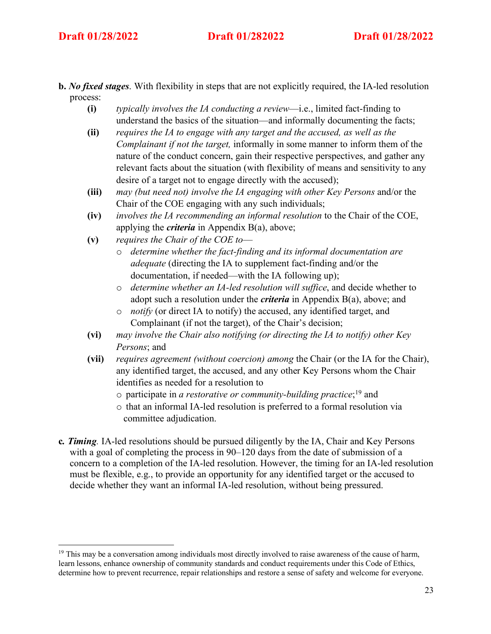- **b.** *No fixed stages*. With flexibility in steps that are not explicitly required, the IA-led resolution process:
	- **(i)** *typically involves the IA conducting a review*—i.e., limited fact-finding to understand the basics of the situation—and informally documenting the facts;
	- **(ii)** *requires the IA to engage with any target and the accused, as well as the Complainant if not the target,* informally in some manner to inform them of the nature of the conduct concern, gain their respective perspectives, and gather any relevant facts about the situation (with flexibility of means and sensitivity to any desire of a target not to engage directly with the accused);
	- **(iii)** *may (but need not) involve the IA engaging with other Key Persons* and/or the Chair of the COE engaging with any such individuals;
	- **(iv)** *involves the IA recommending an informal resolution* to the Chair of the COE, applying the *criteria* in Appendix B(a), above;
	- **(v)** *requires the Chair of the COE to*
		- o *determine whether the fact-finding and its informal documentation are adequate* (directing the IA to supplement fact-finding and/or the documentation, if needed—with the IA following up);
		- o *determine whether an IA-led resolution will suffice*, and decide whether to adopt such a resolution under the *criteria* in Appendix B(a), above; and
		- o *notify* (or direct IA to notify) the accused, any identified target, and Complainant (if not the target), of the Chair's decision;
	- **(vi)** *may involve the Chair also notifying (or directing the IA to notify) other Key Persons*; and
	- **(vii)** *requires agreement (without coercion) among* the Chair (or the IA for the Chair), any identified target, the accused, and any other Key Persons whom the Chair identifies as needed for a resolution to
		- o participate in *a restorative or community-building practice*; <sup>19</sup> and
		- o that an informal IA-led resolution is preferred to a formal resolution via committee adjudication.
- **c***. Timing.* IA-led resolutions should be pursued diligently by the IA, Chair and Key Persons with a goal of completing the process in 90–120 days from the date of submission of a concern to a completion of the IA-led resolution. However, the timing for an IA-led resolution must be flexible, e.g., to provide an opportunity for any identified target or the accused to decide whether they want an informal IA-led resolution, without being pressured.

<sup>&</sup>lt;sup>19</sup> This may be a conversation among individuals most directly involved to raise awareness of the cause of harm, learn lessons, enhance ownership of community standards and conduct requirements under this Code of Ethics, determine how to prevent recurrence, repair relationships and restore a sense of safety and welcome for everyone.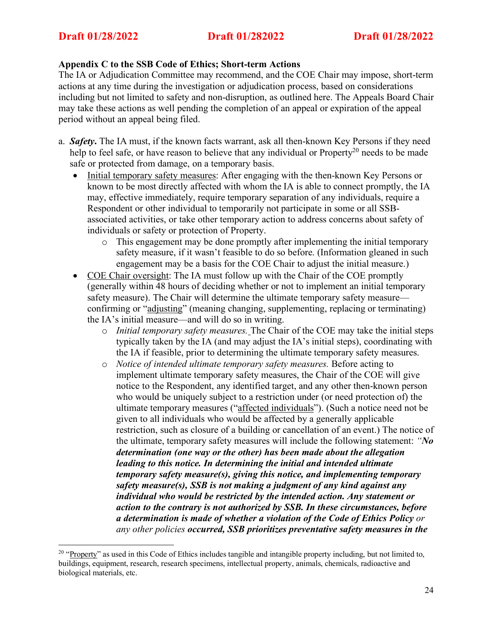### **Appendix C to the SSB Code of Ethics; Short-term Actions**

The IA or Adjudication Committee may recommend, and the COE Chair may impose, short-term actions at any time during the investigation or adjudication process, based on considerations including but not limited to safety and non-disruption, as outlined here. The Appeals Board Chair may take these actions as well pending the completion of an appeal or expiration of the appeal period without an appeal being filed.

- a. *Safety***.** The IA must, if the known facts warrant, ask all then-known Key Persons if they need help to feel safe, or have reason to believe that any individual or Property<sup>20</sup> needs to be made safe or protected from damage, on a temporary basis.
	- Initial temporary safety measures: After engaging with the then-known Key Persons or known to be most directly affected with whom the IA is able to connect promptly, the IA may, effective immediately, require temporary separation of any individuals, require a Respondent or other individual to temporarily not participate in some or all SSBassociated activities, or take other temporary action to address concerns about safety of individuals or safety or protection of Property.
		- o This engagement may be done promptly after implementing the initial temporary safety measure, if it wasn't feasible to do so before. (Information gleaned in such engagement may be a basis for the COE Chair to adjust the initial measure.)
	- COE Chair oversight: The IA must follow up with the Chair of the COE promptly (generally within 48 hours of deciding whether or not to implement an initial temporary safety measure). The Chair will determine the ultimate temporary safety measure confirming or "adjusting" (meaning changing, supplementing, replacing or terminating) the IA's initial measure—and will do so in writing.
		- o *Initial temporary safety measures.* The Chair of the COE may take the initial steps typically taken by the IA (and may adjust the IA's initial steps), coordinating with the IA if feasible, prior to determining the ultimate temporary safety measures.
		- o *Notice of intended ultimate temporary safety measures.* Before acting to implement ultimate temporary safety measures, the Chair of the COE will give notice to the Respondent, any identified target, and any other then-known person who would be uniquely subject to a restriction under (or need protection of) the ultimate temporary measures ("affected individuals"). (Such a notice need not be given to all individuals who would be affected by a generally applicable restriction, such as closure of a building or cancellation of an event.) The notice of the ultimate, temporary safety measures will include the following statement: *"No determination (one way or the other) has been made about the allegation leading to this notice. In determining the initial and intended ultimate temporary safety measure(s), giving this notice, and implementing temporary safety measure(s), SSB is not making a judgment of any kind against any individual who would be restricted by the intended action. Any statement or action to the contrary is not authorized by SSB. In these circumstances, before a determination is made of whether a violation of the Code of Ethics Policy or any other policies occurred, SSB prioritizes preventative safety measures in the*

<sup>&</sup>lt;sup>20</sup> "Property" as used in this Code of Ethics includes tangible and intangible property including, but not limited to, buildings, equipment, research, research specimens, intellectual property, animals, chemicals, radioactive and biological materials, etc.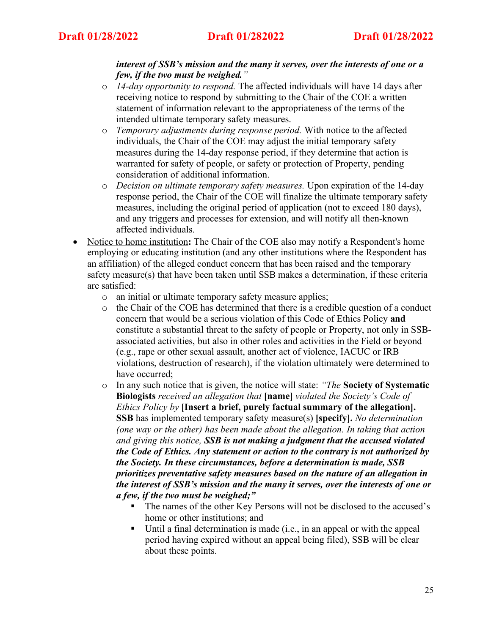# *interest of SSB's mission and the many it serves, over the interests of one or a few, if the two must be weighed."*

- o *14-day opportunity to respond.* The affected individuals will have 14 days after receiving notice to respond by submitting to the Chair of the COE a written statement of information relevant to the appropriateness of the terms of the intended ultimate temporary safety measures.
- o *Temporary adjustments during response period.* With notice to the affected individuals, the Chair of the COE may adjust the initial temporary safety measures during the 14-day response period, if they determine that action is warranted for safety of people, or safety or protection of Property, pending consideration of additional information.
- o *Decision on ultimate temporary safety measures.* Upon expiration of the 14-day response period, the Chair of the COE will finalize the ultimate temporary safety measures, including the original period of application (not to exceed 180 days), and any triggers and processes for extension, and will notify all then-known affected individuals.
- Notice to home institution: The Chair of the COE also may notify a Respondent's home employing or educating institution (and any other institutions where the Respondent has an affiliation) of the alleged conduct concern that has been raised and the temporary safety measure(s) that have been taken until SSB makes a determination, if these criteria are satisfied:
	- o an initial or ultimate temporary safety measure applies;
	- o the Chair of the COE has determined that there is a credible question of a conduct concern that would be a serious violation of this Code of Ethics Policy **and** constitute a substantial threat to the safety of people or Property, not only in SSBassociated activities, but also in other roles and activities in the Field or beyond (e.g., rape or other sexual assault, another act of violence, IACUC or IRB violations, destruction of research), if the violation ultimately were determined to have occurred;
	- o In any such notice that is given, the notice will state: *"The* **Society of Systematic Biologists** *received an allegation that* **[name]** *violated the Society's Code of Ethics Policy by* **[Insert a brief, purely factual summary of the allegation]. SSB** has implemented temporary safety measure(s) **[specify].** *No determination (one way or the other) has been made about the allegation. In taking that action and giving this notice, SSB is not making a judgment that the accused violated the Code of Ethics. Any statement or action to the contrary is not authorized by the Society. In these circumstances, before a determination is made, SSB prioritizes preventative safety measures based on the nature of an allegation in the interest of SSB's mission and the many it serves, over the interests of one or a few, if the two must be weighed;"*
		- The names of the other Key Persons will not be disclosed to the accused's home or other institutions; and
		- Until a final determination is made (i.e., in an appeal or with the appeal period having expired without an appeal being filed), SSB will be clear about these points.